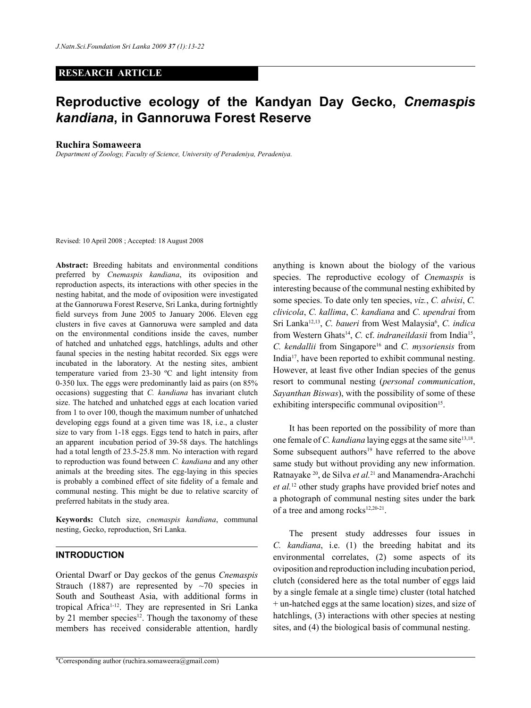# **RESEARCH ARTICLE**

# **Reproductive ecology of the Kandyan Day Gecko,** *Cnemaspis kandiana***, in Gannoruwa Forest Reserve**

#### **Ruchira Somaweera**

*Department of Zoology, Faculty of Science, University of Peradeniya, Peradeniya.*

Revised: 10 April 2008 ; Accepted: 18 August 2008

**Abstract:** Breeding habitats and environmental conditions preferred by *Cnemaspis kandiana*, its oviposition and reproduction aspects, its interactions with other species in the nesting habitat, and the mode of oviposition were investigated at the Gannoruwa Forest Reserve, Sri Lanka, during fortnightly field surveys from June 2005 to January 2006. Eleven egg clusters in five caves at Gannoruwa were sampled and data on the environmental conditions inside the caves, number of hatched and unhatched eggs, hatchlings, adults and other faunal species in the nesting habitat recorded. Six eggs were incubated in the laboratory. At the nesting sites, ambient temperature varied from 23-30 ºC and light intensity from 0-350 lux. The eggs were predominantly laid as pairs (on 85% occasions) suggesting that *C. kandiana* has invariant clutch size. The hatched and unhatched eggs at each location varied from 1 to over 100, though the maximum number of unhatched developing eggs found at a given time was 18, i.e., a cluster size to vary from 1-18 eggs. Eggs tend to hatch in pairs, after an apparent incubation period of 39-58 days. The hatchlings had a total length of 23.5-25.8 mm. No interaction with regard to reproduction was found between *C. kandiana* and any other animals at the breeding sites. The egg-laying in this species is probably a combined effect of site fidelity of a female and communal nesting. This might be due to relative scarcity of preferred habitats in the study area.

**Keywords:** Clutch size, *cnemaspis kandiana*, communal nesting, Gecko, reproduction, Sri Lanka.

# **Introduction**

Oriental Dwarf or Day geckos of the genus *Cnemaspis*  Strauch (1887) are represented by  $\sim$ 70 species in South and Southeast Asia, with additional forms in tropical Africa<sup>1-12</sup>. They are represented in Sri Lanka by 21 member species $12$ . Though the taxonomy of these members has received considerable attention, hardly

anything is known about the biology of the various species. The reproductive ecology of *Cnemaspis* is interesting because of the communal nesting exhibited by some species. To date only ten species, *viz.*, *C. alwisi*, *C. clivicola*, *C. kallima*, *C. kandiana* and *C. upendrai* from Sri Lanka<sup>12,13</sup>, *C. baueri* from West Malaysia<sup>6</sup>, *C. indica* from Western Ghats14, *C.* cf. *indraneildasii* from India15, *C. kendallii* from Singapore16 and *C. mysoriensis* from India<sup>17</sup>, have been reported to exhibit communal nesting. However, at least five other Indian species of the genus resort to communal nesting (*personal communication*, *Sayanthan Biswas*), with the possibility of some of these exhibiting interspecific communal oviposition<sup>15</sup>.

It has been reported on the possibility of more than one female of *C. kandiana* laying eggs at the same site<sup>13,18</sup>. Some subsequent authors<sup>19</sup> have referred to the above same study but without providing any new information. Ratnayake 20, de Silva *et al.*21 and Manamendra-Arachchi *et al.*12 other study graphs have provided brief notes and a photograph of communal nesting sites under the bark of a tree and among rocks $12,20-21$ .

The present study addresses four issues in *C. kandiana*, i.e. (1) the breeding habitat and its environmental correlates, (2) some aspects of its oviposition and reproduction including incubation period, clutch (considered here as the total number of eggs laid by a single female at a single time) cluster (total hatched + un-hatched eggs at the same location) sizes, and size of hatchlings, (3) interactions with other species at nesting sites, and (4) the biological basis of communal nesting.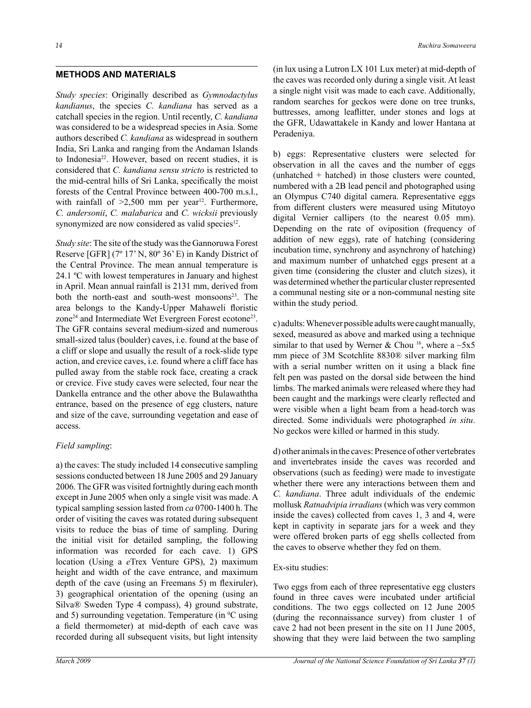# **METHODS AND MATERIALS**

*Study species*: Originally described as *Gymnodactylus kandianus*, the species *C. kandiana* has served as a catchall species in the region. Until recently, *C. kandiana* was considered to be a widespread species in Asia. Some authors described *C. kandiana* as widespread in southern India, Sri Lanka and ranging from the Andaman Islands to Indonesia<sup>22</sup>. However, based on recent studies, it is considered that *C. kandiana sensu stricto* is restricted to the mid-central hills of Sri Lanka, specifically the moist forests of the Central Province between 400-700 m.s.l., with rainfall of  $\geq 2,500$  mm per year<sup>12</sup>. Furthermore, *C. andersonii*, *C. malabarica* and *C. wicksii* previously synonymized are now considered as valid species<sup>12</sup>.

*Study site*: The site of the study was the Gannoruwa Forest Reserve [GFR] (7º 17' N, 80º 36' E) in Kandy District of the Central Province. The mean annual temperature is 24.1 ºC with lowest temperatures in January and highest in April. Mean annual rainfall is 2131 mm, derived from both the north-east and south-west monsoons $23$ . The area belongs to the Kandy-Upper Mahaweli floristic zone<sup>24</sup> and Intermediate Wet Evergreen Forest ecotone<sup>23</sup>. The GFR contains several medium-sized and numerous small-sized talus (boulder) caves, i.e. found at the base of a cliff or slope and usually the result of a rock-slide type action, and crevice caves, i.e. found where a cliff face has pulled away from the stable rock face, creating a crack or crevice. Five study caves were selected, four near the Dankella entrance and the other above the Bulawaththa entrance, based on the presence of egg clusters, nature and size of the cave, surrounding vegetation and ease of access.

## *Field sampling*:

a) the caves: The study included 14 consecutive sampling sessions conducted between 18 June 2005 and 29 January 2006. The GFR was visited fortnightly during each month except in June 2005 when only a single visit was made. A typical sampling session lasted from *ca* 0700-1400 h. The order of visiting the caves was rotated during subsequent visits to reduce the bias of time of sampling. During the initial visit for detailed sampling, the following information was recorded for each cave. 1) GPS location (Using a *e*Trex Venture GPS), 2) maximum height and width of the cave entrance, and maximum depth of the cave (using an Freemans 5) m flexiruler), 3) geographical orientation of the opening (using an Silva® Sweden Type 4 compass), 4) ground substrate, and 5) surrounding vegetation. Temperature (in  ${}^0C$  using a field thermometer) at mid-depth of each cave was recorded during all subsequent visits, but light intensity

(in lux using a Lutron LX 101 Lux meter) at mid-depth of the caves was recorded only during a single visit. At least a single night visit was made to each cave. Additionally, random searches for geckos were done on tree trunks, buttresses, among leaflitter, under stones and logs at the GFR, Udawattakele in Kandy and lower Hantana at Peradeniya.

b) eggs: Representative clusters were selected for observation in all the caves and the number of eggs  $(unhatched + hatched)$  in those clusters were counted, numbered with a 2B lead pencil and photographed using an Olympus C740 digital camera. Representative eggs from different clusters were measured using Mitutoyo digital Vernier callipers (to the nearest 0.05 mm). Depending on the rate of oviposition (frequency of addition of new eggs), rate of hatching (considering incubation time, synchrony and asynchrony of hatching) and maximum number of unhatched eggs present at a given time (considering the cluster and clutch sizes), it was determined whether the particular cluster represented a communal nesting site or a non-communal nesting site within the study period.

c) adults: Whenever possible adults were caught manually, sexed, measured as above and marked using a technique similar to that used by Werner & Chou <sup>16</sup>, where a  $\sim$ 5x5 mm piece of 3M Scotchlite 8830® silver marking film with a serial number written on it using a black fine felt pen was pasted on the dorsal side between the hind limbs. The marked animals were released where they had been caught and the markings were clearly reflected and were visible when a light beam from a head-torch was directed. Some individuals were photographed *in situ*. No geckos were killed or harmed in this study.

d) other animals in the caves: Presence of other vertebrates and invertebrates inside the caves was recorded and observations (such as feeding) were made to investigate whether there were any interactions between them and *C. kandiana*. Three adult individuals of the endemic mollusk *Ratnadvipia irradians* (which was very common inside the caves) collected from caves 1, 3 and 4, were kept in captivity in separate jars for a week and they were offered broken parts of egg shells collected from the caves to observe whether they fed on them.

#### Ex-situ studies:

Two eggs from each of three representative egg clusters found in three caves were incubated under artificial conditions. The two eggs collected on 12 June 2005 (during the reconnaissance survey) from cluster 1 of cave 2 had not been present in the site on 11 June 2005, showing that they were laid between the two sampling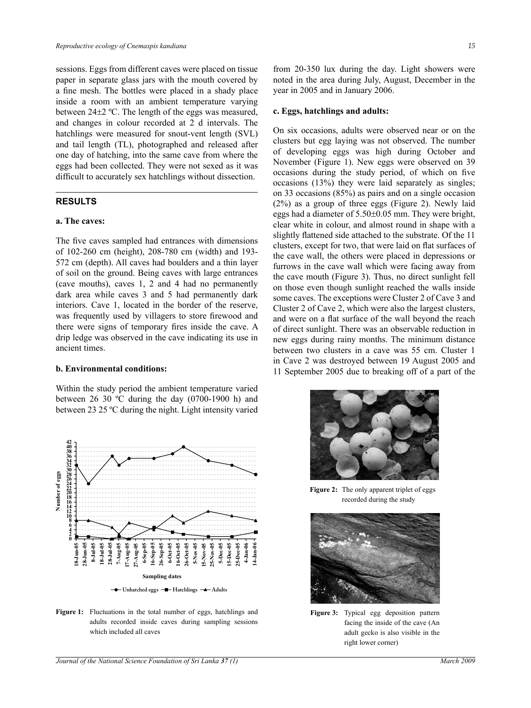sessions. Eggs from different caves were placed on tissue paper in separate glass jars with the mouth covered by a fine mesh. The bottles were placed in a shady place inside a room with an ambient temperature varying between 24±2 ºC. The length of the eggs was measured, and changes in colour recorded at 2 d intervals. The hatchlings were measured for snout-vent length (SVL) and tail length (TL), photographed and released after one day of hatching, into the same cave from where the eggs had been collected. They were not sexed as it was difficult to accurately sex hatchlings without dissection.

# **Results**

### **a. The caves:**

The five caves sampled had entrances with dimensions of 102-260 cm (height), 208-780 cm (width) and 193- 572 cm (depth). All caves had boulders and a thin layer of soil on the ground. Being caves with large entrances (cave mouths), caves 1, 2 and 4 had no permanently dark area while caves 3 and 5 had permanently dark interiors. Cave 1, located in the border of the reserve, was frequently used by villagers to store firewood and there were signs of temporary fires inside the cave. A drip ledge was observed in the cave indicating its use in ancient times.

# **b. Environmental conditions:**

Within the study period the ambient temperature varied between 26 30 ºC during the day (0700-1900 h) and between 23 25 ºC during the night. Light intensity varied



Figure 1: Fluctuations in the total number of eggs, hatchlings and adults recorded inside caves during sampling sessions which included all caves

from 20-350 lux during the day. Light showers were noted in the area during July, August, December in the year in 2005 and in January 2006.

#### **c. Eggs, hatchlings and adults:**

On six occasions, adults were observed near or on the clusters but egg laying was not observed. The number of developing eggs was high during October and November (Figure 1). New eggs were observed on 39 occasions during the study period, of which on five occasions (13%) they were laid separately as singles; on 33 occasions (85%) as pairs and on a single occasion (2%) as a group of three eggs (Figure 2). Newly laid eggs had a diameter of 5.50±0.05 mm. They were bright, clear white in colour, and almost round in shape with a slightly flattened side attached to the substrate. Of the 11 clusters, except for two, that were laid on flat surfaces of the cave wall, the others were placed in depressions or furrows in the cave wall which were facing away from the cave mouth (Figure 3). Thus, no direct sunlight fell on those even though sunlight reached the walls inside some caves. The exceptions were Cluster 2 of Cave 3 and Cluster 2 of Cave 2, which were also the largest clusters, and were on a flat surface of the wall beyond the reach of direct sunlight. There was an observable reduction in new eggs during rainy months. The minimum distance between two clusters in a cave was 55 cm. Cluster 1 in Cave 2 was destroyed between 19 August 2005 and 11 September 2005 due to breaking off of a part of the



**Figure 2:** The only apparent triplet of eggs recorded during the study



**Figure 3:** Typical egg deposition pattern facing the inside of the cave (An adult gecko is also visible in the right lower corner)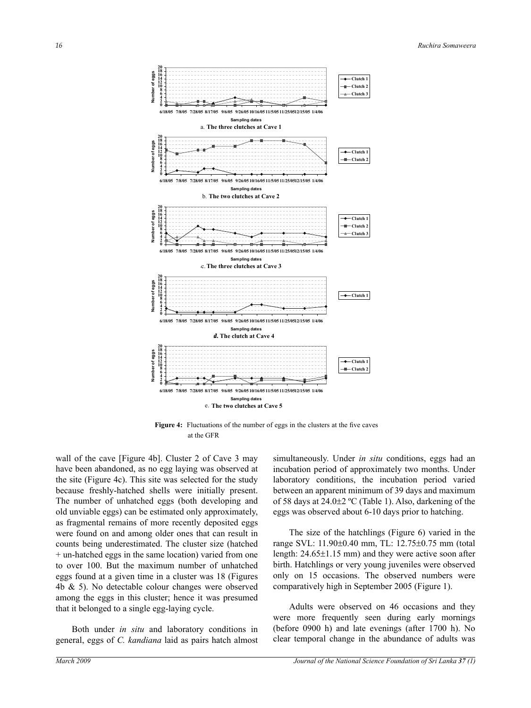

**Figure 4:** Fluctuations of the number of eggs in the clusters at the five caves at the GFR

wall of the cave [Figure 4b]. Cluster 2 of Cave 3 may have been abandoned, as no egg laying was observed at the site (Figure 4c). This site was selected for the study because freshly-hatched shells were initially present. The number of unhatched eggs (both developing and old unviable eggs) can be estimated only approximately, as fragmental remains of more recently deposited eggs were found on and among older ones that can result in counts being underestimated. The cluster size (hatched + un-hatched eggs in the same location) varied from one to over 100. But the maximum number of unhatched eggs found at a given time in a cluster was 18 (Figures 4b & 5). No detectable colour changes were observed among the eggs in this cluster; hence it was presumed that it belonged to a single egg-laying cycle.

Both under *in situ* and laboratory conditions in general, eggs of *C. kandiana* laid as pairs hatch almost

simultaneously. Under *in situ* conditions, eggs had an incubation period of approximately two months. Under laboratory conditions, the incubation period varied between an apparent minimum of 39 days and maximum of 58 days at 24.0±2 ºC (Table 1). Also, darkening of the eggs was observed about 6-10 days prior to hatching.

The size of the hatchlings (Figure 6) varied in the range SVL: 11.90±0.40 mm, TL: 12.75±0.75 mm (total length: 24.65±1.15 mm) and they were active soon after birth. Hatchlings or very young juveniles were observed only on 15 occasions. The observed numbers were comparatively high in September 2005 (Figure 1).

Adults were observed on 46 occasions and they were more frequently seen during early mornings (before 0900 h) and late evenings (after 1700 h). No clear temporal change in the abundance of adults was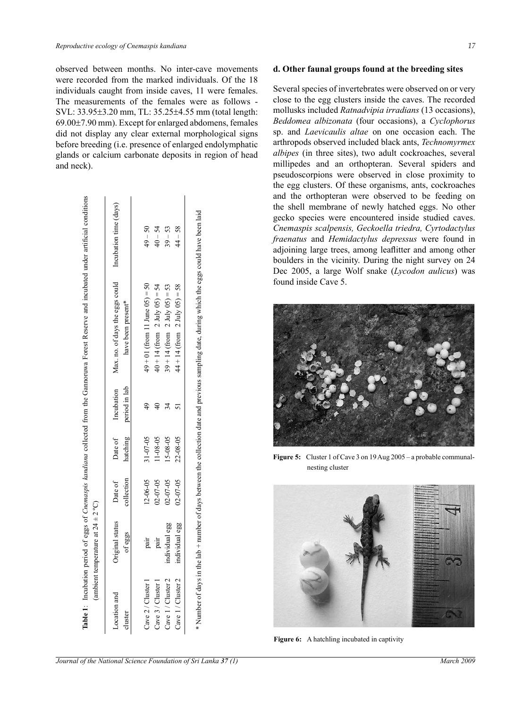observed between months. No inter-cave movements were recorded from the marked individuals. Of the 18 individuals caught from inside caves, 11 were females. The measurements of the females were as follows - SVL: 33.95±3.20 mm, TL: 35.25±4.55 mm (total length: 69.00±7.90 mm). Except for enlarged abdomens, females did not display any clear external morphological signs before breeding (i.e. presence of enlarged endolymphatic glands or calcium carbonate deposits in region of head and neck).

|                    | (ambient temperature at $24 \pm 2$ °C) |                |                |               | Table 1: Incubation period of eggs of Cnemaspis kandiana collected from the Gannoruwa Forest Reserve and incubated under artificial conditions  |                        |
|--------------------|----------------------------------------|----------------|----------------|---------------|-------------------------------------------------------------------------------------------------------------------------------------------------|------------------------|
| Location and       | Original status                        | Date of        | Date of        | Incubation    | Max. no. of days the eggs could                                                                                                                 | Incubation time (days) |
| cluster            | of eggs                                | collection     | hatching       | period in lab | have been present*                                                                                                                              |                        |
| Cave 2 / Cluster 1 | pair                                   | 12-06-05       | $31 - 07 - 05$ |               | $49 + 01$ (from 11 June 05) = 50                                                                                                                | $49 - 50$              |
| Cave 3 / Cluster 1 | pair                                   | $02 - 07 - 05$ | 11-08-05       |               | $40 + 14$ (from 2 July 05) = 54                                                                                                                 | 40 – 54                |
| Cave 1 / Cluster 2 | individual egg                         | $02 - 07 - 05$ | 15-08-05       |               | $39 + 14$ (from 2 July 05) = 53                                                                                                                 | $39 - 53$              |
| Cave 1 / Cluster 2 | individual egg                         | $02 - 07 - 05$ | 22-08-05       |               | $44 + 14$ (from 2 July 05) = 58                                                                                                                 | 44 – 58                |
|                    |                                        |                |                |               | * Number of days in the lab + number of days between the collection date and previous sampling date, during which the eggs could have been laid |                        |

#### **d. Other faunal groups found at the breeding sites**

Several species of invertebrates were observed on or very close to the egg clusters inside the caves. The recorded mollusks included *Ratnadvipia irradians* (13 occasions), *Beddomea albizonata* (four occasions), a *Cyclophorus* sp. and *Laevicaulis altae* on one occasion each. The arthropods observed included black ants, *Technomyrmex albipes* (in three sites), two adult cockroaches, several millipedes and an orthopteran. Several spiders and pseudoscorpions were observed in close proximity to the egg clusters. Of these organisms, ants, cockroaches and the orthopteran were observed to be feeding on the shell membrane of newly hatched eggs. No other gecko species were encountered inside studied caves. *Cnemaspis scalpensis, Geckoella triedra, Cyrtodactylus fraenatus* and *Hemidactylus depressus* were found in adjoining large trees, among leaflitter and among other boulders in the vicinity. During the night survey on 24 Dec 2005, a large Wolf snake (*Lycodon aulicus*) was found inside Cave 5.



**Figure 5:** Cluster 1 of Cave 3 on 19 Aug 2005 – a probable communalnesting cluster



**Figure 6:** A hatchling incubated in captivity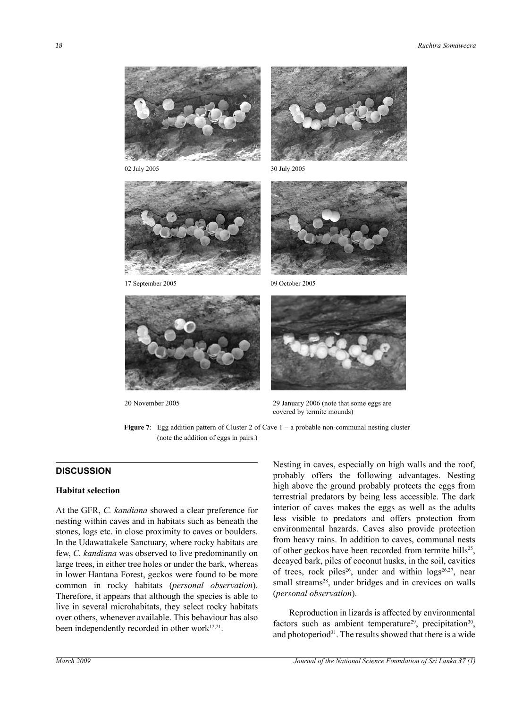



17 September 2005 09 October 2005









20 November 2005 29 January 2006 (note that some eggs are by termite mounds) covered by termite mounds)

**Figure 7**: Egg addition pattern of Cluster 2 of Cave 1 – a probable non-communal nesting cluster (note the addition of eggs in pairs.)

## **Discussion**

## **Habitat selection**

At the GFR, *C. kandiana* showed a clear preference for nesting within caves and in habitats such as beneath the stones, logs etc. in close proximity to caves or boulders. In the Udawattakele Sanctuary, where rocky habitats are few, *C. kandiana* was observed to live predominantly on large trees, in either tree holes or under the bark, whereas in lower Hantana Forest, geckos were found to be more common in rocky habitats (*personal observation*). Therefore, it appears that although the species is able to live in several microhabitats, they select rocky habitats over others, whenever available. This behaviour has also been independently recorded in other work<sup>12,21</sup>.

32 terrestrial predators by being less accessible. The dark Nesting in caves, especially on high walls and the roof, probably offers the following advantages. Nesting high above the ground probably protects the eggs from interior of caves makes the eggs as well as the adults less visible to predators and offers protection from environmental hazards. Caves also provide protection from heavy rains. In addition to caves, communal nests of other geckos have been recorded from termite hills<sup>25</sup>, decayed bark, piles of coconut husks, in the soil, cavities of trees, rock piles<sup>26</sup>, under and within logs<sup>26,27</sup>, near small streams<sup>28</sup>, under bridges and in crevices on walls (*personal observation*).

Reproduction in lizards is affected by environmental factors such as ambient temperature<sup>29</sup>, precipitation<sup>30</sup>, and photoperiod<sup>31</sup>. The results showed that there is a wide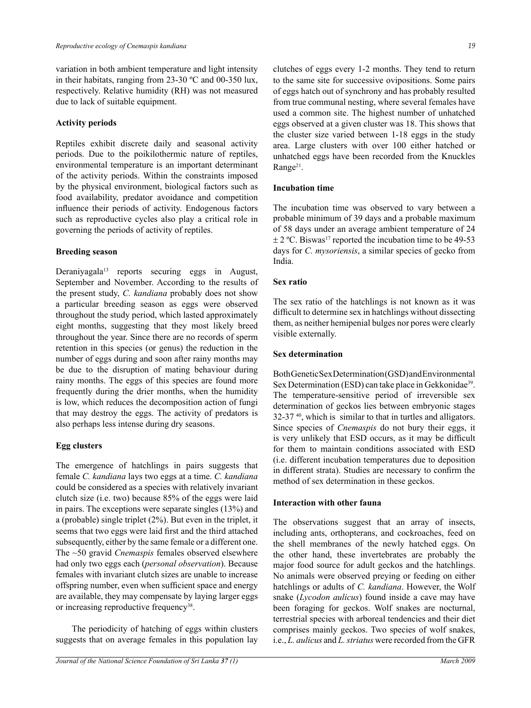variation in both ambient temperature and light intensity in their habitats, ranging from 23-30 ºC and 00-350 lux, respectively. Relative humidity (RH) was not measured due to lack of suitable equipment.

## **Activity periods**

Reptiles exhibit discrete daily and seasonal activity periods. Due to the poikilothermic nature of reptiles, environmental temperature is an important determinant of the activity periods. Within the constraints imposed by the physical environment, biological factors such as food availability, predator avoidance and competition influence their periods of activity. Endogenous factors such as reproductive cycles also play a critical role in governing the periods of activity of reptiles.

#### **Breeding season**

Deraniyagala<sup>13</sup> reports securing eggs in August, September and November. According to the results of the present study, *C. kandiana* probably does not show a particular breeding season as eggs were observed throughout the study period, which lasted approximately eight months, suggesting that they most likely breed throughout the year. Since there are no records of sperm retention in this species (or genus) the reduction in the number of eggs during and soon after rainy months may be due to the disruption of mating behaviour during rainy months. The eggs of this species are found more frequently during the drier months, when the humidity is low, which reduces the decomposition action of fungi that may destroy the eggs. The activity of predators is also perhaps less intense during dry seasons.

## **Egg clusters**

The emergence of hatchlings in pairs suggests that female *C. kandiana* lays two eggs at a time. *C. kandiana* could be considered as a species with relatively invariant clutch size (i.e. two) because 85% of the eggs were laid in pairs. The exceptions were separate singles (13%) and a (probable) single triplet (2%). But even in the triplet, it seems that two eggs were laid first and the third attached subsequently, either by the same female or a different one. The ~50 gravid *Cnemaspis* females observed elsewhere had only two eggs each (*personal observation*). Because females with invariant clutch sizes are unable to increase offspring number, even when sufficient space and energy are available, they may compensate by laying larger eggs or increasing reproductive frequency<sup>38</sup>.

The periodicity of hatching of eggs within clusters suggests that on average females in this population lay clutches of eggs every 1-2 months. They tend to return to the same site for successive ovipositions. Some pairs of eggs hatch out of synchrony and has probably resulted from true communal nesting, where several females have used a common site. The highest number of unhatched eggs observed at a given cluster was 18. This shows that the cluster size varied between 1-18 eggs in the study area. Large clusters with over 100 either hatched or unhatched eggs have been recorded from the Knuckles Range $^{21}$ .

### **Incubation time**

The incubation time was observed to vary between a probable minimum of 39 days and a probable maximum of 58 days under an average ambient temperature of 24  $\pm$  2 °C. Biswas<sup>17</sup> reported the incubation time to be 49-53 days for *C. mysoriensis*, a similar species of gecko from India.

#### **Sex ratio**

The sex ratio of the hatchlings is not known as it was difficult to determine sex in hatchlings without dissecting them, as neither hemipenial bulges nor pores were clearly visible externally.

## **Sex determination**

Both Genetic Sex Determination (GSD) and Environmental Sex Determination (ESD) can take place in Gekkonidae<sup>39</sup>. The temperature-sensitive period of irreversible sex determination of geckos lies between embryonic stages 32-37 40, which is similar to that in turtles and alligators. Since species of *Cnemaspis* do not bury their eggs, it is very unlikely that ESD occurs, as it may be difficult for them to maintain conditions associated with ESD (i.e. different incubation temperatures due to deposition in different strata). Studies are necessary to confirm the method of sex determination in these geckos.

#### **Interaction with other fauna**

The observations suggest that an array of insects, including ants, orthopterans, and cockroaches, feed on the shell membranes of the newly hatched eggs. On the other hand, these invertebrates are probably the major food source for adult geckos and the hatchlings. No animals were observed preying or feeding on either hatchlings or adults of *C. kandiana*. However, the Wolf snake (*Lycodon aulicus*) found inside a cave may have been foraging for geckos. Wolf snakes are nocturnal, terrestrial species with arboreal tendencies and their diet comprises mainly geckos. Two species of wolf snakes, i.e., *L. aulicus* and *L. striatus* were recorded from the GFR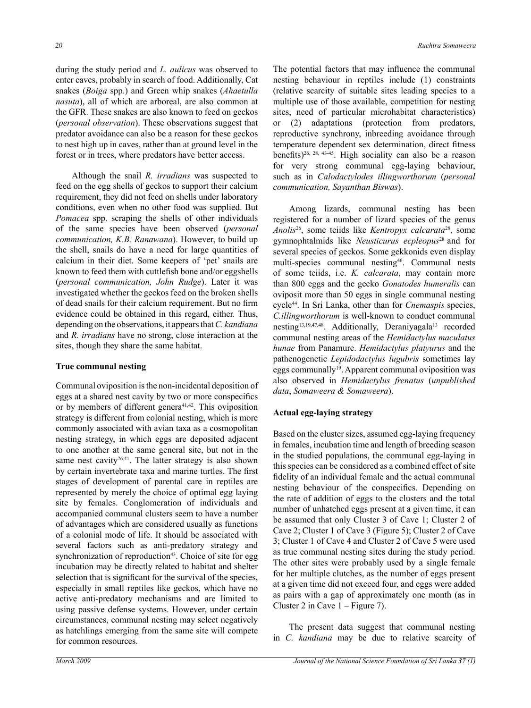during the study period and *L. aulicus* was observed to enter caves, probably in search of food. Additionally, Cat snakes (*Boiga* spp.) and Green whip snakes (*Ahaetulla nasuta*), all of which are arboreal, are also common at the GFR. These snakes are also known to feed on geckos (*personal observation*). These observations suggest that predator avoidance can also be a reason for these geckos to nest high up in caves, rather than at ground level in the forest or in trees, where predators have better access.

Although the snail *R. irradians* was suspected to feed on the egg shells of geckos to support their calcium requirement, they did not feed on shells under laboratory conditions, even when no other food was supplied. But *Pomacea* spp. scraping the shells of other individuals of the same species have been observed (*personal communication, K.B. Ranawana*). However, to build up the shell, snails do have a need for large quantities of calcium in their diet. Some keepers of 'pet' snails are known to feed them with cuttlefish bone and/or eggshells (*personal communication, John Rudge*). Later it was investigated whether the geckos feed on the broken shells of dead snails for their calcium requirement. But no firm evidence could be obtained in this regard, either. Thus, depending on the observations, it appears that *C. kandiana* and *R. irradians* have no strong, close interaction at the sites, though they share the same habitat.

#### **True communal nesting**

Communal oviposition is the non-incidental deposition of eggs at a shared nest cavity by two or more conspecifics or by members of different genera<sup>41,42</sup>. This oviposition strategy is different from colonial nesting, which is more commonly associated with avian taxa as a cosmopolitan nesting strategy, in which eggs are deposited adjacent to one another at the same general site, but not in the same nest cavity<sup>26,41</sup>. The latter strategy is also shown by certain invertebrate taxa and marine turtles. The first stages of development of parental care in reptiles are represented by merely the choice of optimal egg laying site by females. Conglomeration of individuals and accompanied communal clusters seem to have a number of advantages which are considered usually as functions of a colonial mode of life. It should be associated with several factors such as anti-predatory strategy and synchronization of reproduction<sup>43</sup>. Choice of site for egg incubation may be directly related to habitat and shelter selection that is significant for the survival of the species, especially in small reptiles like geckos, which have no active anti-predatory mechanisms and are limited to using passive defense systems. However, under certain circumstances, communal nesting may select negatively as hatchlings emerging from the same site will compete for common resources.

The potential factors that may influence the communal nesting behaviour in reptiles include (1) constraints (relative scarcity of suitable sites leading species to a multiple use of those available, competition for nesting sites, need of particular microhabitat characteristics) or (2) adaptations (protection from predators, reproductive synchrony, inbreeding avoidance through temperature dependent sex determination, direct fitness benefits)26, 28, 43-45. High sociality can also be a reason for very strong communal egg-laying behaviour, such as in *Calodactylodes illingworthorum* (*personal communication, Sayanthan Biswas*).

Among lizards, communal nesting has been registered for a number of lizard species of the genus *Anolis*26, some teiids like *Kentropyx calcarata*28, some gymnophtalmids like *Neusticurus ecpleopus*28 and for several species of geckos. Some gekkonids even display multi-species communal nesting<sup>46</sup>. Communal nests of some teiids, i.e. *K. calcarata*, may contain more than 800 eggs and the gecko *Gonatodes humeralis* can oviposit more than 50 eggs in single communal nesting cycle44. In Sri Lanka, other than for *Cnemaspis* species, *C.illingworthorum* is well-known to conduct communal nesting<sup>13,19,47,48</sup>. Additionally, Deraniyagala<sup>13</sup> recorded communal nesting areas of the *Hemidactylus maculatus hunae* from Panamure. *Hemidactylus platyurus* and the pathenogenetic *Lepidodactylus lugubris* sometimes lay eggs communally19. Apparent communal oviposition was also observed in *Hemidactylus frenatus* (*unpublished data*, *Somaweera & Somaweera*).

# **Actual egg-laying strategy**

Based on the cluster sizes, assumed egg-laying frequency in females, incubation time and length of breeding season in the studied populations, the communal egg-laying in this species can be considered as a combined effect of site fidelity of an individual female and the actual communal nesting behaviour of the conspecifics. Depending on the rate of addition of eggs to the clusters and the total number of unhatched eggs present at a given time, it can be assumed that only Cluster 3 of Cave 1; Cluster 2 of Cave 2; Cluster 1 of Cave 3 (Figure 5); Cluster 2 of Cave 3; Cluster 1 of Cave 4 and Cluster 2 of Cave 5 were used as true communal nesting sites during the study period. The other sites were probably used by a single female for her multiple clutches, as the number of eggs present at a given time did not exceed four, and eggs were added as pairs with a gap of approximately one month (as in Cluster 2 in Cave 1 – Figure 7).

The present data suggest that communal nesting in *C. kandiana* may be due to relative scarcity of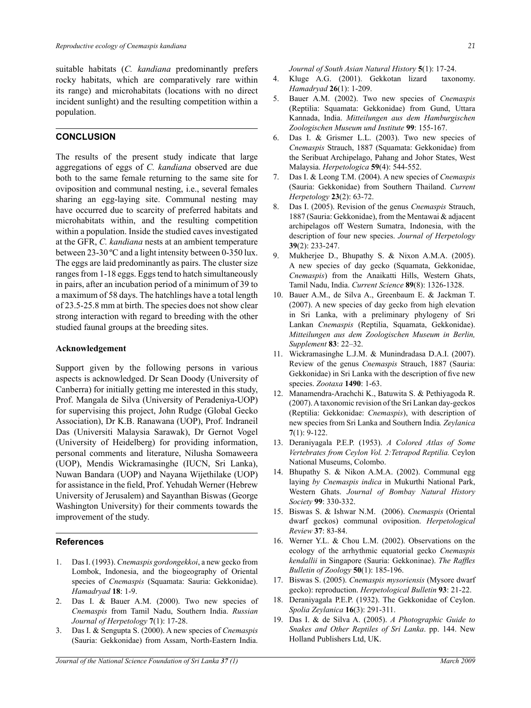suitable habitats (*C. kandiana* predominantly prefers rocky habitats, which are comparatively rare within its range) and microhabitats (locations with no direct incident sunlight) and the resulting competition within a population.

# **Conclusion**

The results of the present study indicate that large aggregations of eggs of *C. kandiana* observed are due both to the same female returning to the same site for oviposition and communal nesting, i.e., several females sharing an egg-laying site. Communal nesting may have occurred due to scarcity of preferred habitats and microhabitats within, and the resulting competition within a population. Inside the studied caves investigated at the GFR, *C. kandiana* nests at an ambient temperature between 23-30 ºC and a light intensity between 0-350 lux. The eggs are laid predominantly as pairs. The cluster size ranges from 1-18 eggs. Eggs tend to hatch simultaneously in pairs, after an incubation period of a minimum of 39 to a maximum of 58 days. The hatchlings have a total length of 23.5-25.8 mm at birth. The species does not show clear strong interaction with regard to breeding with the other studied faunal groups at the breeding sites.

#### **Acknowledgement**

Support given by the following persons in various aspects is acknowledged. Dr Sean Doody (University of Canberra) for initially getting me interested in this study, Prof. Mangala de Silva (University of Peradeniya-UOP) for supervising this project, John Rudge (Global Gecko Association), Dr K.B. Ranawana (UOP), Prof. Indraneil Das (Universiti Malaysia Sarawak), Dr Gernot Vogel (University of Heidelberg) for providing information, personal comments and literature, Nilusha Somaweera (UOP), Mendis Wickramasinghe (IUCN, Sri Lanka), Nuwan Bandara (UOP) and Nayana Wijethilake (UOP) for assistance in the field, Prof. Yehudah Werner (Hebrew University of Jerusalem) and Sayanthan Biswas (George Washington University) for their comments towards the improvement of the study.

#### **References**

- 1. Das I. (1993). *Cnemaspis gordongekkoi*, a new gecko from Lombok, Indonesia, and the biogeography of Oriental species of *Cnemaspis* (Squamata: Sauria: Gekkonidae). *Hamadryad* **18**: 1-9.
- 2. Das I. & Bauer A.M. (2000). Two new species of *Cnemaspis* from Tamil Nadu, Southern India. *Russian Journal of Herpetology* **7**(1): 17-28.
- 3. Das I. & Sengupta S. (2000). A new species of *Cnemaspis* (Sauria: Gekkonidae) from Assam, North-Eastern India.

*Journal of South Asian Natural History* **5**(1): 17-24.

- 4. Kluge A.G. (2001). Gekkotan lizard taxonomy. *Hamadryad* **26**(1): 1-209.
- 5. Bauer A.M. (2002). Two new species of *Cnemaspis* (Reptilia: Squamata: Gekkonidae) from Gund, Uttara Kannada, India. *Mitteilungen aus dem Hamburgischen Zoologischen Museum und Institute* **99**: 155-167.
- 6. Das I. & Grismer L.L. (2003). Two new species of *Cnemaspis* Strauch, 1887 (Squamata: Gekkonidae) from the Seribuat Archipelago, Pahang and Johor States, West Malaysia. *Herpetologica* **59**(4): 544-552.
- 7. Das I. & Leong T.M. (2004). A new species of *Cnemaspis* (Sauria: Gekkonidae) from Southern Thailand. *Current Herpetology* **23**(2): 63-72.
- 8. Das I. (2005). Revision of the genus *Cnemaspis* Strauch, 1887 (Sauria: Gekkonidae), from the Mentawai & adjacent archipelagos off Western Sumatra, Indonesia, with the description of four new species. *Journal of Herpetology* **39**(2): 233-247.
- 9. Mukherjee D., Bhupathy S. & Nixon A.M.A. (2005). A new species of day gecko (Squamata, Gekkonidae, *Cnemaspis*) from the Anaikatti Hills, Western Ghats, Tamil Nadu, India. *Current Science* **89**(8): 1326-1328.
- 10. Bauer A.M., de Silva A., Greenbaum E. & Jackman T. (2007). A new species of day gecko from high elevation in Sri Lanka, with a preliminary phylogeny of Sri Lankan *Cnemaspis* (Reptilia, Squamata, Gekkonidae). *Mitteilungen aus dem Zoologischen Museum in Berlin, Supplement* **83**: 22–32.
- 11. Wickramasinghe L.J.M. & Munindradasa D.A.I. (2007). Review of the genus *Cnemaspis* Strauch, 1887 (Sauria: Gekkonidae) in Sri Lanka with the description of five new species. *Zootaxa* **1490**: 1-63.
- 12. Manamendra-Arachchi K., Batuwita S. & Pethiyagoda R. (2007). A taxonomic revision of the Sri Lankan day-geckos (Reptilia: Gekkonidae: *Cnemaspis*), with description of new species from Sri Lanka and Southern India*. Zeylanica* **7**(1): 9-122.
- 13. Deraniyagala P.E.P. (1953). *A Colored Atlas of Some Vertebrates from Ceylon Vol. 2:Tetrapod Reptilia.* Ceylon National Museums, Colombo.
- 14. Bhupathy S. & Nikon A.M.A. (2002). Communal egg laying *by Cnemaspis indica* in Mukurthi National Park, Western Ghats. *Journal of Bombay Natural History Society* **99**: 330-332.
- 15. Biswas S. & Ishwar N.M. (2006). *Cnemaspis* (Oriental dwarf geckos) communal oviposition. *Herpetological Review* **37**: 83-84.
- 16. Werner Y.L. & Chou L.M. (2002). Observations on the ecology of the arrhythmic equatorial gecko *Cnemaspis kendallii* in Singapore (Sauria: Gekkoninae). *The Raffles Bulletin of Zoology* **50**(1): 185-196.
- 17. Biswas S. (2005). *Cnemaspis mysoriensis* (Mysore dwarf gecko): reproduction. *Herpetological Bulletin* **93**: 21-22.
- 18. Deraniyagala P.E.P. (1932). The Gekkonidae of Ceylon. *Spolia Zeylanica* **16**(3): 291-311.
- 19. Das I. & de Silva A. (2005). *A Photographic Guide to Snakes and Other Reptiles of Sri Lanka*. pp. 144. New Holland Publishers Ltd, UK.